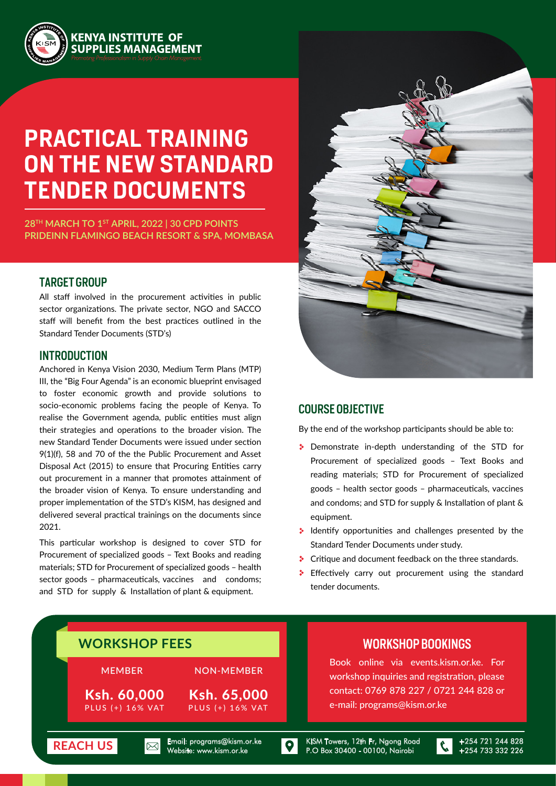

# **PRACTICAL TRAINING ON THE NEW STANDARD TENDER DOCUMENTS**

**28TH MARCH TO 1ST APRIL, 2022 | 30 CPD POINTS PRIDEINN FLAMINGO BEACH RESORT & SPA, MOMBASA**

#### TARGET GROUP

All staff involved in the procurement activities in public sector organizations. The private sector, NGO and SACCO staff will benefit from the best practices outlined in the Standard Tender Documents (STD's)

#### INTRODUCTION

Anchored in Kenya Vision 2030, Medium Term Plans (MTP) III, the "Big Four Agenda" is an economic blueprint envisaged to foster economic growth and provide solutions to socio-economic problems facing the people of Kenya. To realise the Government agenda, public entities must align their strategies and operations to the broader vision. The new Standard Tender Documents were issued under section 9(1)(f), 58 and 70 of the the Public Procurement and Asset Disposal Act (2015) to ensure that Procuring Entities carry out procurement in a manner that promotes attainment of the broader vision of Kenya. To ensure understanding and proper implementation of the STD's KISM, has designed and delivered several practical trainings on the documents since 2021.

This particular workshop is designed to cover STD for Procurement of specialized goods – Text Books and reading materials; STD for Procurement of specialized goods – health sector goods – pharmaceuticals, vaccines and condoms; and STD for supply & Installation of plant & equipment.



#### COURSE OBJECTIVE

By the end of the workshop participants should be able to:

- **Demonstrate in-depth understanding of the STD for** Procurement of specialized goods – Text Books and reading materials; STD for Procurement of specialized goods – health sector goods – pharmaceuticals, vaccines and condoms; and STD for supply & Installation of plant & equipment.
- $\cdot$  Identify opportunities and challenges presented by the Standard Tender Documents under study.
- **Critique and document feedback on the three standards.**
- \* Effectively carry out procurement using the standard tender documents.